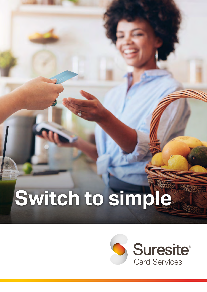# **Switch to simple**

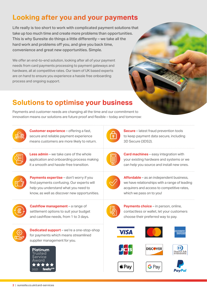#### **Looking after you and your payments**

Life really is too short to work with complicated payment solutions that take up too much time and create more problems than opportunities. This is why Suresite do things a little differently – we take all the hard work and problems off you, and give you back time, convenience and great new opportunities. Simple.

We offer an end-to-end solution, looking after all of your payment needs from card payments processing to payment gateways and hardware, all at competitive rates. Our team of UK based experts are on hand to ensure you experience a hassle free onboarding process and ongoing support.

### **Solutions to optimise your business**

Payments and customer needs are changing all the time and our commitment to innovation means our solutions are future proof and flexible – today and tomorrow:



**Customer experience** – offering a fast, secure and reliable payment experience means customers are more likely to return.



**Less admin** – we take care of the whole application and onboarding process making it a smooth and hassle-free transition.



**Payments expertise** – don't worry if you find payments confusing. Our experts will help you understand what you need to know, as well as discover new opportunities.



**Cashflow management** – a range of settlement options to suit your budget and cashflow needs, from 1 to 3 days.



**Dedicated support** – we're a one-stop-shop for payments which means streamlined supplier management for you.





**Secure** – latest fraud prevention tools to keep payment data secure, including 3D Secure (3DS2).



**Card machines** – easy integration with your existing hardware and systems or we can help you source and install new ones.



**Affordable** – as an independent business, we have relationships with a range of leading acquirers and access to competitive rates, which we pass on to you!



**Payments choice** – in person, online, contactless or wallet, let your customers choose their preferred way to pay.











 $\mathbf{\hat{J}}$  Pay